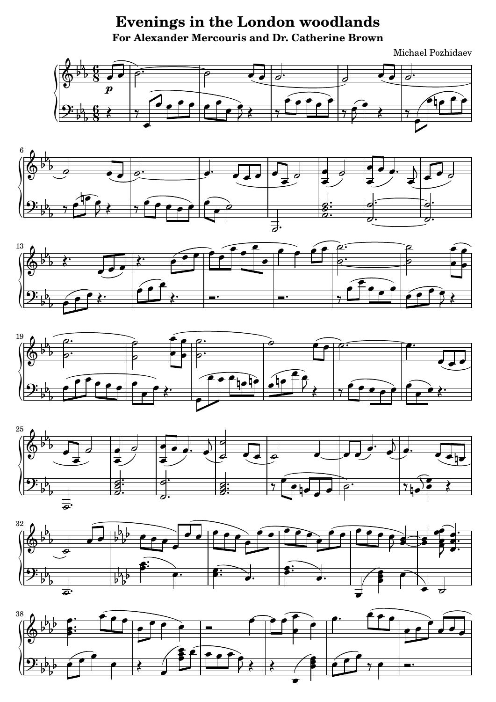## **Evenings in the London woodlands For Alexander Mercouris and Dr. Catherine Brown**













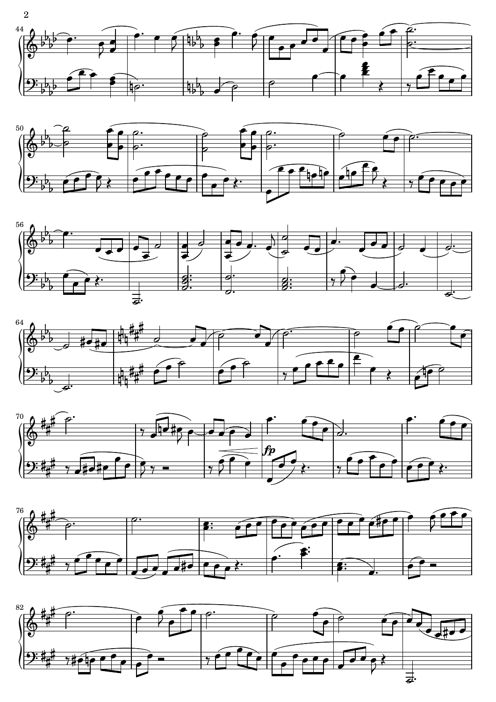











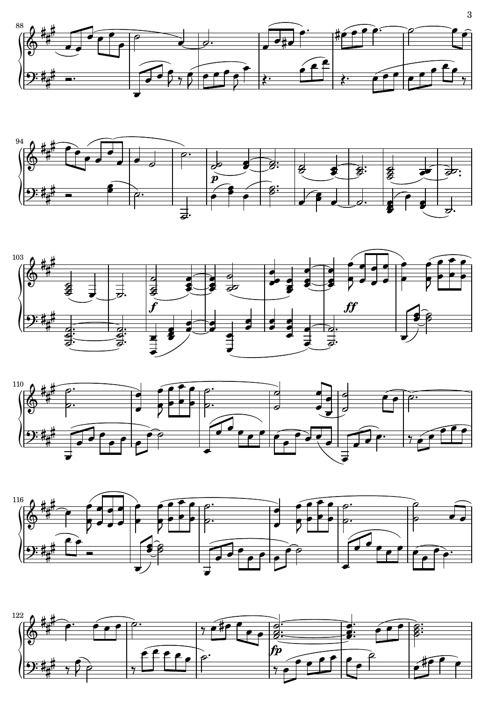









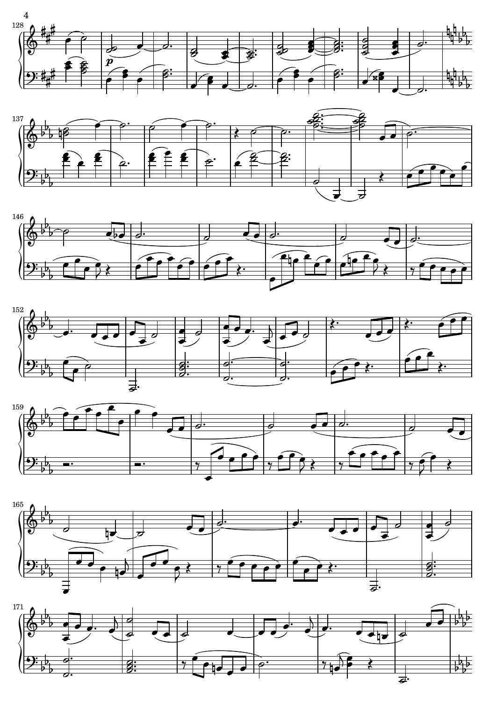